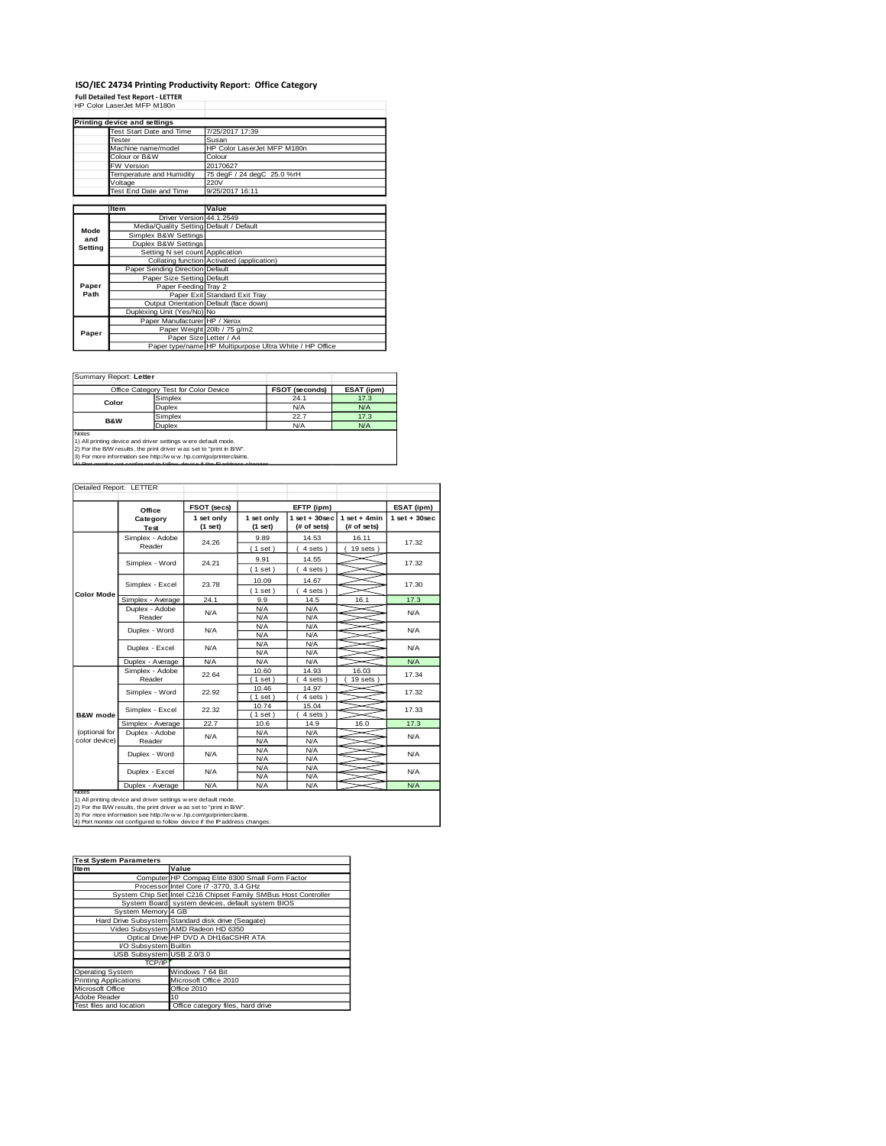# **ISO/IEC 24734 Printing Productivity Report: Office Category<br>Full Detailed Test Report - LETTER<br>HP Color LaserJet MFP M180n**

|         | Printing device and settings            |                                                         |
|---------|-----------------------------------------|---------------------------------------------------------|
|         | Test Start Date and Time                | 7/25/2017 17:39                                         |
|         | Tester                                  | Susan                                                   |
|         | Machine name/model                      | HP Color Laser let MFP M180n                            |
|         | Colour or B&W                           | Colour                                                  |
|         | <b>FW Version</b>                       | 20170627                                                |
|         | Temperature and Humidity                | 75 degF / 24 degC 25.0 %rH                              |
|         | Voltage                                 | 220V                                                    |
|         | Test End Date and Time                  | 9/25/2017 16:11                                         |
|         |                                         |                                                         |
|         | <b>Item</b>                             | Value                                                   |
|         | Driver Version 44.1.2549                |                                                         |
| Mode    | Media/Quality Setting Default / Default |                                                         |
| and     | Simplex B&W Settings                    |                                                         |
| Setting | Duplex B&W Settings                     |                                                         |
|         | Setting N set count Application         |                                                         |
|         |                                         | Collating function Activated (application)              |
|         | Paper Sending Direction Default         |                                                         |
|         | Paper Size Setting Default              |                                                         |
| Paper   | Paper Feeding Tray 2                    |                                                         |
| Path    |                                         | Paper Exit Standard Exit Tray                           |
|         |                                         | Output Orientation Default (face down)                  |
|         | Duplexing Unit (Yes/No) No              |                                                         |
|         | Paper Manufacturer HP / Xerox           |                                                         |
| Paper   |                                         | Paper Weight 20lb / 75 g/m2                             |
|         | Paper Size Letter / A4                  |                                                         |
|         |                                         | Paper type/name HP Multipurpose Ultra White / HP Office |

Summary Report: **Letter**

|                                                                                                                                       | Office Category Test for Color Device | <b>FSOT (seconds)</b> | ESAT (ipm) |  |  |  |
|---------------------------------------------------------------------------------------------------------------------------------------|---------------------------------------|-----------------------|------------|--|--|--|
| Color                                                                                                                                 | Simplex                               | 24.1                  | 17.3       |  |  |  |
|                                                                                                                                       | Duplex                                | N/A                   | N/A        |  |  |  |
| <b>B&amp;W</b>                                                                                                                        | Simplex                               | 22.7                  | 17.3       |  |  |  |
|                                                                                                                                       | <b>Duplex</b>                         | N/A                   | N/A        |  |  |  |
| Notes                                                                                                                                 |                                       |                       |            |  |  |  |
| 1) All printing device and driver settings w ere default mode.<br>2) For the B/W results, the print driver was set to "print in B/W". |                                       |                       |            |  |  |  |

2) For the B/W results, the print driver w as set to "print in B/W".<br>3) For more information see http://w w w .hp.com/go/printerclaims.<br>4) Port monitor not configured to follow device if the IP address changes.

| Detailed Report: LETTER        |                           |                       |                          |                                |                               |                    |
|--------------------------------|---------------------------|-----------------------|--------------------------|--------------------------------|-------------------------------|--------------------|
|                                | Office                    | FSOT (secs)           |                          | EFTP (ipm)                     |                               | ESAT (ipm)         |
|                                | Category<br>Test          | 1 set only<br>(1 set) | 1 set only<br>$(1$ set)  | $1$ set + 30sec<br>(# of sets) | $1$ set + 4min<br>(# of sets) | $1$ set + $30$ sec |
|                                | Simplex - Adobe<br>Reader | 24.26                 | 9.89<br>(1 set)          | 14.53<br>4 sets)               |                               | 17.32              |
|                                | Simplex - Word            | 24.21                 | 9.91<br>(1 set)          | 14.55<br>4 sets)               |                               | 17.32              |
| <b>Color Mode</b>              | Simplex - Excel           | 23.78                 | 10.09<br>(1 set)         | 14.67<br>4 sets)               |                               | 17.30              |
|                                | Simplex - Average         | 24.1                  | 9.9                      | 14.5                           | 16.1                          | 17.3               |
|                                | Duplex - Adobe<br>Reader  | N/A                   |                          | N/A<br>N/A                     |                               | N/A                |
|                                | Duplex - Word             | N/A                   | N/A<br>N/A               | N/A<br>N/A                     |                               | N/A                |
|                                | Duplex - Excel            | N/A                   | N/A<br>N/A<br>N/A<br>N/A |                                |                               | N/A                |
|                                | Duplex - Average          | N/A                   | N/A                      | N/A                            |                               | N/A                |
|                                | Simplex - Adobe<br>Reader | 22.64                 | 10.60<br>(1 set)         | 14.93<br>4 sets)               | 16.03<br>$19$ sets $)$        | 17.34              |
|                                | Simplex - Word            | 22.92                 | 10.46<br>$1$ set)        | 14.97<br>4 sets                |                               | 17.32              |
| <b>B&amp;W</b> mode            | Simplex - Excel           | 22.32                 | 10.74<br>$1$ set)        | 15.04<br>4 sets)               |                               | 17.33              |
|                                | Simplex - Average         | 22.7                  | 10.6                     | 14.9                           | 16.0                          | 17.3               |
| (optional for<br>color device) | Duplex - Adobe<br>Reader  | N/A                   | N/A<br>N/A               | N/A<br>N/A                     |                               | N/A                |
|                                | Duplex - Word             | N/A                   | N/A<br>N/A               | N/A<br>N/A                     |                               | <b>N/A</b>         |
|                                | Duplex - Excel            | N/A                   | N/A<br>N/A               | N/A<br>N/A                     |                               | N/A                |
|                                | Duplex - Average          | N/A                   | N/A                      | N/A                            |                               | N/A                |
| Notes                          |                           |                       |                          |                                |                               |                    |

Notes<br>1) All printing device and driver settings were default mode.<br>2) For the B/W results, the print driver was set to "print in B/W".<br>3) For more information see http://w.w. hp.com/go/printerclaims.<br>4) Por monitor not co

| <b>Test System Parameters</b> |                                                                 |
|-------------------------------|-----------------------------------------------------------------|
| <b>Item</b>                   | Value                                                           |
|                               | Computer HP Compaq Elite 8300 Small Form Factor                 |
|                               | Processor Intel Core i7 -3770, 3.4 GHz                          |
|                               | System Chip Set Intel C216 Chipset Family SMBus Host Controller |
|                               | System Board system devices, default system BIOS                |
| System Memory 4 GB            |                                                                 |
|                               | Hard Drive Subsystem Standard disk drive (Seagate)              |
|                               | Video Subsystem AMD Radeon HD 6350                              |
|                               | Optical Drive HP DVD A DH16aCSHR ATA                            |
| I/O Subsystem Builtin         |                                                                 |
| USB Subsystem USB 2.0/3.0     |                                                                 |
| TCP/IP                        |                                                                 |
| <b>Operating System</b>       | Windows 7 64 Bit                                                |
| <b>Printing Applications</b>  | Microsoft Office 2010                                           |
| Microsoft Office              | <b>Office 2010</b>                                              |
| Adobe Reader                  | 10                                                              |
| Test files and location       | Office category files, hard drive                               |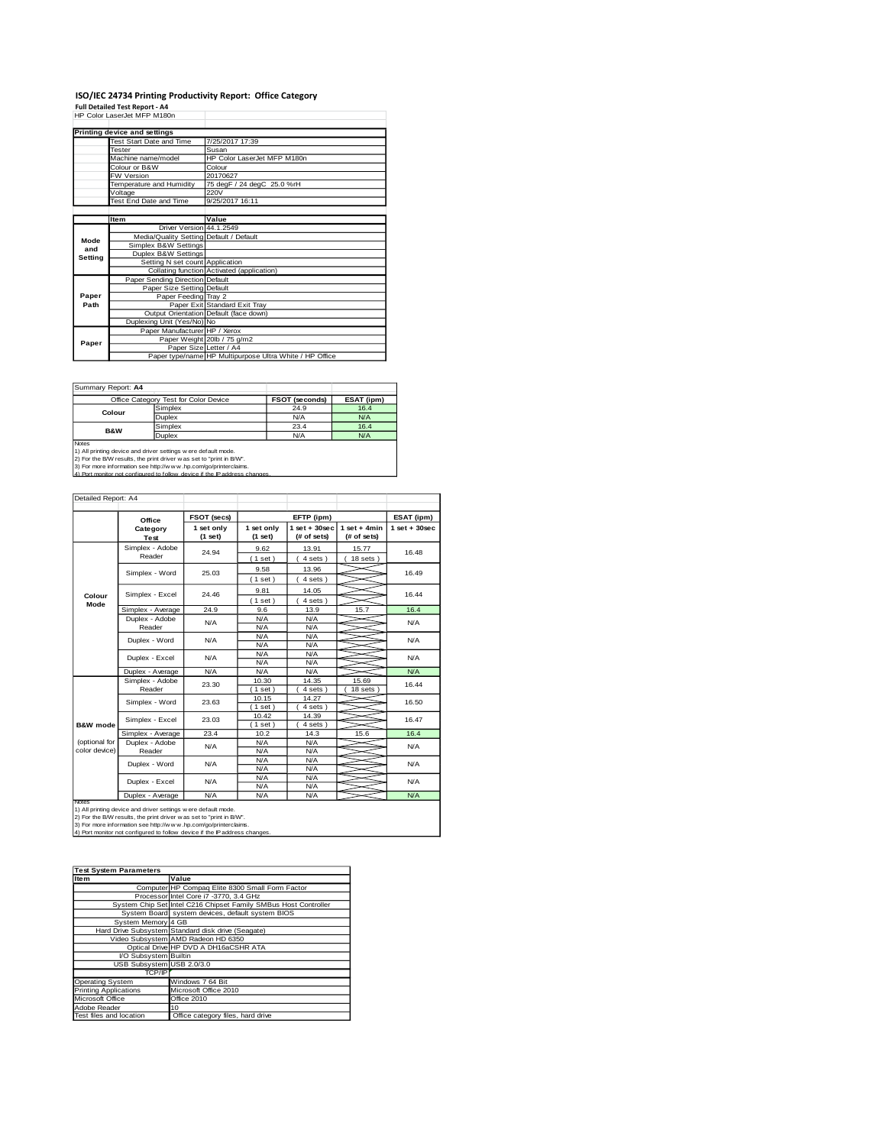# **ISO/IEC 24734 Printing Productivity Report: Office Category<br>Full Detailed Test Report - A4<br>HP Color LaserJet MFP M180n**

|         | HP COIOI LASEIJEI MFP M180N             |                                                         |
|---------|-----------------------------------------|---------------------------------------------------------|
|         |                                         |                                                         |
|         | Printing device and settings            |                                                         |
|         | Test Start Date and Time                | 7/25/2017 17:39                                         |
|         | Tester                                  | Susan                                                   |
|         | Machine name/model                      | HP Color LaserJet MFP M180n                             |
|         | Colour or B&W                           | Colour                                                  |
|         | <b>FW Version</b>                       | 20170627                                                |
|         | Temperature and Humidity                | 75 degF / 24 degC 25.0 %rH                              |
|         | Voltage                                 | 220V                                                    |
|         | Test End Date and Time                  | 9/25/2017 16:11                                         |
|         |                                         |                                                         |
|         | <b>Item</b>                             | Value                                                   |
|         | Driver Version 44.1.2549                |                                                         |
| Mode    | Media/Quality Setting Default / Default |                                                         |
| and     | Simplex B&W Settings                    |                                                         |
| Setting | Duplex B&W Settings                     |                                                         |
|         | Setting N set count Application         |                                                         |
|         |                                         | Collating function Activated (application)              |
|         | <b>Paper Sending Direction Default</b>  |                                                         |
|         | Paper Size Setting Default              |                                                         |
| Paper   | Paper Feeding Tray 2                    |                                                         |
| Path    |                                         | Paper Exit Standard Exit Tray                           |
|         |                                         | Output Orientation Default (face down)                  |
|         | Duplexing Unit (Yes/No) No              |                                                         |
|         | Paper Manufacturer HP / Xerox           |                                                         |
| Paper   |                                         | Paper Weight 20lb / 75 g/m2                             |
|         | Paper Size Letter / A4                  |                                                         |
|         |                                         | Paper type/name HP Multipurpose Ultra White / HP Office |

Summary Report: **A4**

|                                                                      | Office Category Test for Color Device                                       | <b>FSOT (seconds)</b> | ESAT (ipm) |  |  |  |
|----------------------------------------------------------------------|-----------------------------------------------------------------------------|-----------------------|------------|--|--|--|
| Colour                                                               | Simplex                                                                     | 24.9                  | 16.4       |  |  |  |
|                                                                      | Duplex                                                                      | N/A                   | N/A        |  |  |  |
| B&W                                                                  | Simplex                                                                     | 23.4                  | 16.4       |  |  |  |
|                                                                      | <b>Duplex</b>                                                               | N/A                   | N/A        |  |  |  |
| Notes                                                                |                                                                             |                       |            |  |  |  |
|                                                                      | 1) All printing device and driver settings w ere default mode.              |                       |            |  |  |  |
| 2) For the B/W results, the print driver w as set to "print in B/W". |                                                                             |                       |            |  |  |  |
| 3) For more information see http://www.hp.com/go/printerclaims.      |                                                                             |                       |            |  |  |  |
|                                                                      | 4) Port monitor not configured to follow, device if the IP address changes. |                       |            |  |  |  |

| Detailed Report: A4            |                           |                       |                          |                                   |                               |                 |
|--------------------------------|---------------------------|-----------------------|--------------------------|-----------------------------------|-------------------------------|-----------------|
|                                | Office                    | FSOT (secs)           |                          | EFTP (ipm)                        |                               | ESAT (ipm)      |
|                                | Category<br>Test          | 1 set only<br>(1 set) | 1 set only<br>(1 set)    | $1$ set + $30$ sec<br>(# of sets) | $1$ set + 4min<br>(# of sets) | $1$ set + 30sec |
|                                | Simplex - Adobe<br>Reader | 24.94                 | 9.62<br>(1 set)          | 13.91<br>$4 sets$ )               | 15.77<br>$18$ sets $)$        | 16.48           |
|                                | Simplex - Word            | 25.03                 | 9.58<br>(1 set)          | 13.96<br>4 sets)                  |                               | 16.49           |
| Colour                         | Simplex - Excel           | 24.46                 | 9.81<br>(1 set)          | 14.05<br>$4 sets$ )               |                               | 16.44           |
| Mode                           | Simplex - Average         | 24.9                  | 9.6                      | 13.9                              | 15.7                          | 16.4            |
|                                | Duplex - Adobe<br>Reader  | N/A                   | N/A<br>N/A               | N/A<br>N/A                        |                               | N/A             |
|                                | Duplex - Word             | N/A                   | N/A<br>N/A<br>N/A<br>N/A |                                   | N/A                           |                 |
|                                | Duplex - Excel            | N/A                   | N/A<br>N/A               | N/A<br>N/A                        |                               | N/A             |
|                                | Duplex - Average          | N/A                   | N/A                      | N/A                               |                               | N/A             |
|                                | Simplex - Adobe<br>Reader | 23.30                 | 10.30<br>(1 set)         | 14.35<br>4 sets)                  | 15.69<br>$18$ sets $)$        | 16.44           |
|                                | Simplex - Word            | 23.63                 | 10.15<br>(1 set)         | 14.27<br>4 sets)                  |                               | 16.50           |
| <b>B&amp;W</b> mode            | Simplex - Excel           | 23.03                 | 10.42<br>$1$ set)        | 14.39<br>4 sets)                  |                               | 16.47           |
|                                | Simplex - Average         | 23.4                  | 10.2                     | 14.3                              | 15.6                          | 16.4            |
| (optional for<br>color device) | Duplex - Adobe<br>Reader  | N/A                   | N/A<br>N/A               | N/A<br>N/A                        |                               | N/A             |
|                                | Duplex - Word             | N/A                   | N/A<br>N/A               | N/A<br>N/A                        |                               | N/A             |
|                                | Duplex - Excel            | N/A                   | N/A<br>N/A               | N/A<br>N/A                        |                               | N/A             |
| Notes                          | Duplex - Average          | N/A                   | N/A                      | N/A                               |                               | N/A             |

Notes<br>1) All printing device and driver settings were default mode.<br>2) For the B/W results, the print driver was set to "print in B/W".<br>3) For more information see http://www.hp.com/go/printerclaims.<br>4) Por monitor not con

| <b>Test System Parameters</b> |                                                                 |  |  |  |
|-------------------------------|-----------------------------------------------------------------|--|--|--|
| Item                          | Value                                                           |  |  |  |
|                               | Computer HP Compaq Elite 8300 Small Form Factor                 |  |  |  |
|                               | Processor Intel Core i7 -3770, 3.4 GHz                          |  |  |  |
|                               | System Chip Set Intel C216 Chipset Family SMBus Host Controller |  |  |  |
|                               | System Board system devices, default system BIOS                |  |  |  |
| System Memory 4 GB            |                                                                 |  |  |  |
|                               | Hard Drive Subsystem Standard disk drive (Seagate)              |  |  |  |
|                               | Video Subsystem AMD Radeon HD 6350                              |  |  |  |
|                               | Optical Drive HP DVD A DH16aCSHR ATA                            |  |  |  |
| I/O Subsystem Builtin         |                                                                 |  |  |  |
| USB Subsystem USB 2.0/3.0     |                                                                 |  |  |  |
| TCP/IP                        |                                                                 |  |  |  |
| <b>Operating System</b>       | Windows 7 64 Bit                                                |  |  |  |
| <b>Printing Applications</b>  | Microsoft Office 2010                                           |  |  |  |
| Microsoft Office              | Office 2010                                                     |  |  |  |
| Adobe Reader                  | 10                                                              |  |  |  |
| Test files and location       | Office category files, hard drive                               |  |  |  |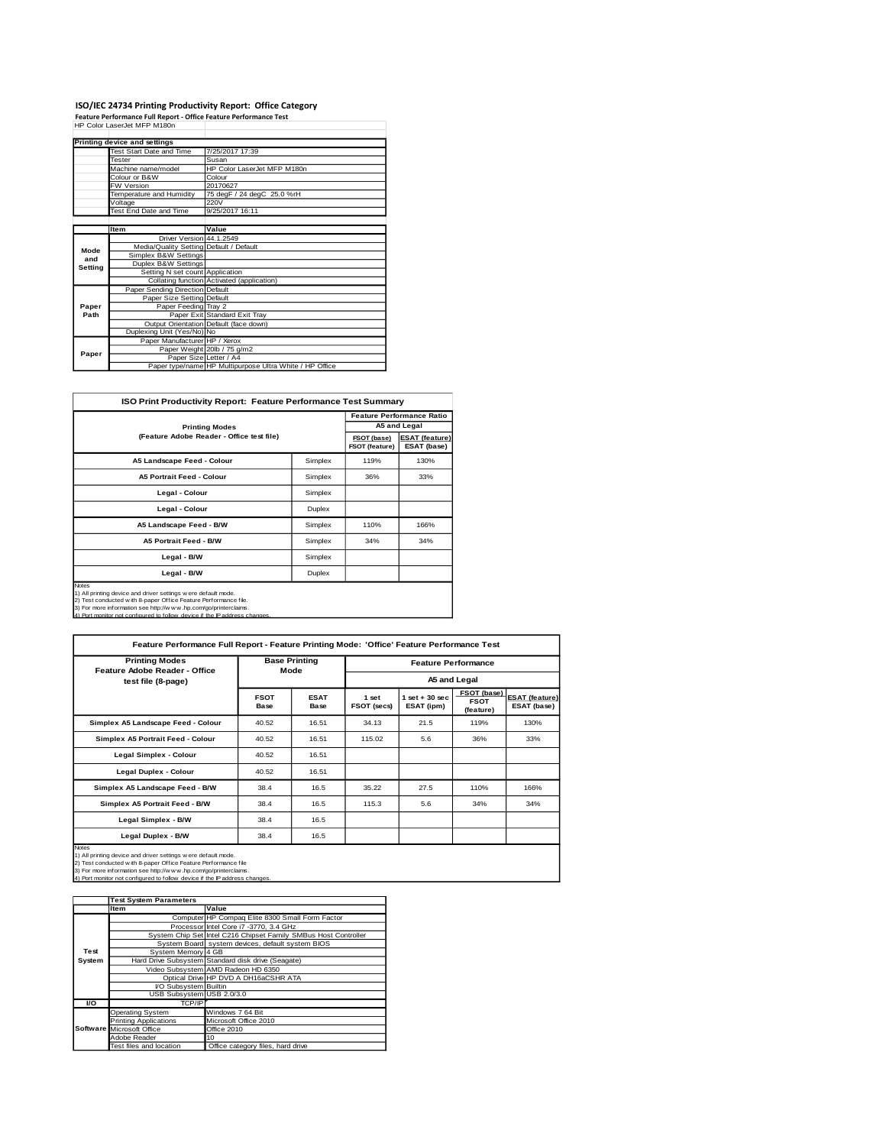## **ISO/IEC 24734 Printing Productivity Report: Office Category<br>Feature Performance Full Report - Office Feature Performance Test<br>HP Color LaserJet MFP M180n**

|         | Printing device and settings            |                                                         |
|---------|-----------------------------------------|---------------------------------------------------------|
|         | Test Start Date and Time                | 7/25/2017 17:39                                         |
|         | <b>Tester</b>                           | Susan                                                   |
|         | Machine name/model                      | HP Color LaserJet MFP M180n                             |
|         | Colour or B&W                           | Colour                                                  |
|         | <b>FW Version</b>                       | 20170627                                                |
|         | Temperature and Humidity                | 75 degF / 24 degC 25.0 %rH                              |
|         | Voltage                                 | 220V                                                    |
|         | Test End Date and Time                  | 9/25/2017 16:11                                         |
|         |                                         |                                                         |
|         | <b>Item</b>                             | Value                                                   |
|         | Driver Version 44.1.2549                |                                                         |
| Mode    | Media/Quality Setting Default / Default |                                                         |
| and     | Simplex B&W Settings                    |                                                         |
| Setting | Duplex B&W Settings                     |                                                         |
|         | Setting N set count Application         |                                                         |
|         |                                         | Collating function Activated (application)              |
|         | Paper Sending Direction Default         |                                                         |
|         | Paper Size Setting Default              |                                                         |
| Paper   | Paper Feeding Tray 2                    |                                                         |
| Path    |                                         | Paper Exit Standard Exit Tray                           |
|         |                                         | Output Orientation Default (face down)                  |
|         | Duplexing Unit (Yes/No) No              |                                                         |
|         | Paper Manufacturer HP / Xerox           |                                                         |
| Paper   |                                         | Paper Weight 20lb / 75 g/m2                             |
|         | Paper Size Letter / A4                  |                                                         |
|         |                                         | Paper type/name HP Multipurpose Ultra White / HP Office |

| <b>ISO Print Productivity Report: Feature Performance Test Summary</b>                                                                                                                                                                                                                         |         |      |                                  |  |  |  |
|------------------------------------------------------------------------------------------------------------------------------------------------------------------------------------------------------------------------------------------------------------------------------------------------|---------|------|----------------------------------|--|--|--|
|                                                                                                                                                                                                                                                                                                |         |      | <b>Feature Performance Ratio</b> |  |  |  |
| <b>Printing Modes</b>                                                                                                                                                                                                                                                                          |         |      | A5 and Legal                     |  |  |  |
| (Feature Adobe Reader - Office test file)                                                                                                                                                                                                                                                      |         |      |                                  |  |  |  |
| A5 Landscape Feed - Colour                                                                                                                                                                                                                                                                     | Simplex | 119% | 130%                             |  |  |  |
| <b>A5 Portrait Feed - Colour</b>                                                                                                                                                                                                                                                               | Simplex | 36%  | 33%                              |  |  |  |
| Legal - Colour                                                                                                                                                                                                                                                                                 | Simplex |      |                                  |  |  |  |
| Legal - Colour                                                                                                                                                                                                                                                                                 | Duplex  |      |                                  |  |  |  |
| A5 Landscape Feed - B/W                                                                                                                                                                                                                                                                        | Simplex | 110% | 166%                             |  |  |  |
| <b>A5 Portrait Feed - B/W</b>                                                                                                                                                                                                                                                                  | Simplex | 34%  | 34%                              |  |  |  |
| Legal - B/W<br>Simplex                                                                                                                                                                                                                                                                         |         |      |                                  |  |  |  |
| Legal - B/W<br>Duplex                                                                                                                                                                                                                                                                          |         |      |                                  |  |  |  |
| Notes<br>1) All printing device and driver settings w ere default mode.<br>2) Test conducted w ith 8-paper Office Feature Performance file.<br>3) For more information see http://w w w .hp.com/go/printerclaims.<br>4) Port monitor not configured to follow device if the IP address changes |         |      |                                  |  |  |  |

| <b>Printing Modes</b><br>Feature Adobe Reader - Office                                                                                                                                                                                                                                              | <b>Base Printing</b><br>Mode |                     | <b>Feature Performance</b>  |                                 |                                         |                                      |
|-----------------------------------------------------------------------------------------------------------------------------------------------------------------------------------------------------------------------------------------------------------------------------------------------------|------------------------------|---------------------|-----------------------------|---------------------------------|-----------------------------------------|--------------------------------------|
| test file (8-page)                                                                                                                                                                                                                                                                                  |                              |                     |                             |                                 | A5 and Legal                            |                                      |
|                                                                                                                                                                                                                                                                                                     | <b>FSOT</b><br>Base          | <b>ESAT</b><br>Base | 1 set<br><b>FSOT (secs)</b> | $1$ set $+30$ sec<br>ESAT (ipm) | FSOT (base)<br><b>FSOT</b><br>(feature) | <b>ESAT (feature)</b><br>ESAT (base) |
| Simplex A5 Landscape Feed - Colour                                                                                                                                                                                                                                                                  | 40.52                        | 16.51               | 34.13                       | 21.5                            | 119%                                    | 130%                                 |
| Simplex A5 Portrait Feed - Colour                                                                                                                                                                                                                                                                   | 40.52                        | 16.51               | 115.02                      | 5.6                             | 36%                                     | 33%                                  |
| Legal Simplex - Colour                                                                                                                                                                                                                                                                              | 40.52                        | 16.51               |                             |                                 |                                         |                                      |
| Legal Duplex - Colour                                                                                                                                                                                                                                                                               | 40.52                        | 16.51               |                             |                                 |                                         |                                      |
| Simplex A5 Landscape Feed - B/W                                                                                                                                                                                                                                                                     | 38.4                         | 16.5                | 35.22                       | 27.5                            | 110%                                    | 166%                                 |
| Simplex A5 Portrait Feed - B/W                                                                                                                                                                                                                                                                      | 38.4                         | 16.5                | 115.3                       | 5.6                             | 34%                                     | 34%                                  |
| Legal Simplex - B/W                                                                                                                                                                                                                                                                                 | 38.4                         | 16.5                |                             |                                 |                                         |                                      |
| Legal Duplex - B/W<br>38.4<br>16.5                                                                                                                                                                                                                                                                  |                              |                     |                             |                                 |                                         |                                      |
| <b>Notes</b><br>1) All printing device and driver settings were default mode.<br>2) Test conducted with 8-paper Office Feature Performance file<br>3) For more information see http://w w w .hp.com/go/printerclaims.<br>4) Port monitor not configured to follow device if the IP address changes. |                              |                     |                             |                                 |                                         |                                      |

|        | <b>Test System Parameters</b> |                                                                 |  |  |
|--------|-------------------------------|-----------------------------------------------------------------|--|--|
|        | <b>Item</b>                   | Value                                                           |  |  |
|        |                               | Computer HP Compaq Elite 8300 Small Form Factor                 |  |  |
|        |                               | Processor Intel Core i7 -3770, 3.4 GHz                          |  |  |
|        |                               | System Chip Set Intel C216 Chipset Family SMBus Host Controller |  |  |
|        |                               | System Board system devices, default system BIOS                |  |  |
| Test   | System Memory 4 GB            |                                                                 |  |  |
| System |                               | Hard Drive Subsystem Standard disk drive (Seagate)              |  |  |
|        |                               | Video Subsystem AMD Radeon HD 6350                              |  |  |
|        |                               | Optical Drive HP DVD A DH16aCSHR ATA                            |  |  |
|        | I/O Subsystem Builtin         |                                                                 |  |  |
|        | USB Subsystem USB 2.0/3.0     |                                                                 |  |  |
| VO.    | TCP/IP                        |                                                                 |  |  |
|        | <b>Operating System</b>       | Windows 7 64 Bit                                                |  |  |
|        | <b>Printing Applications</b>  | Microsoft Office 2010                                           |  |  |
|        | Software Microsoft Office     | Office 2010                                                     |  |  |
|        | Adobe Reader                  | 10                                                              |  |  |
|        | Test files and location       | Office category files, hard drive                               |  |  |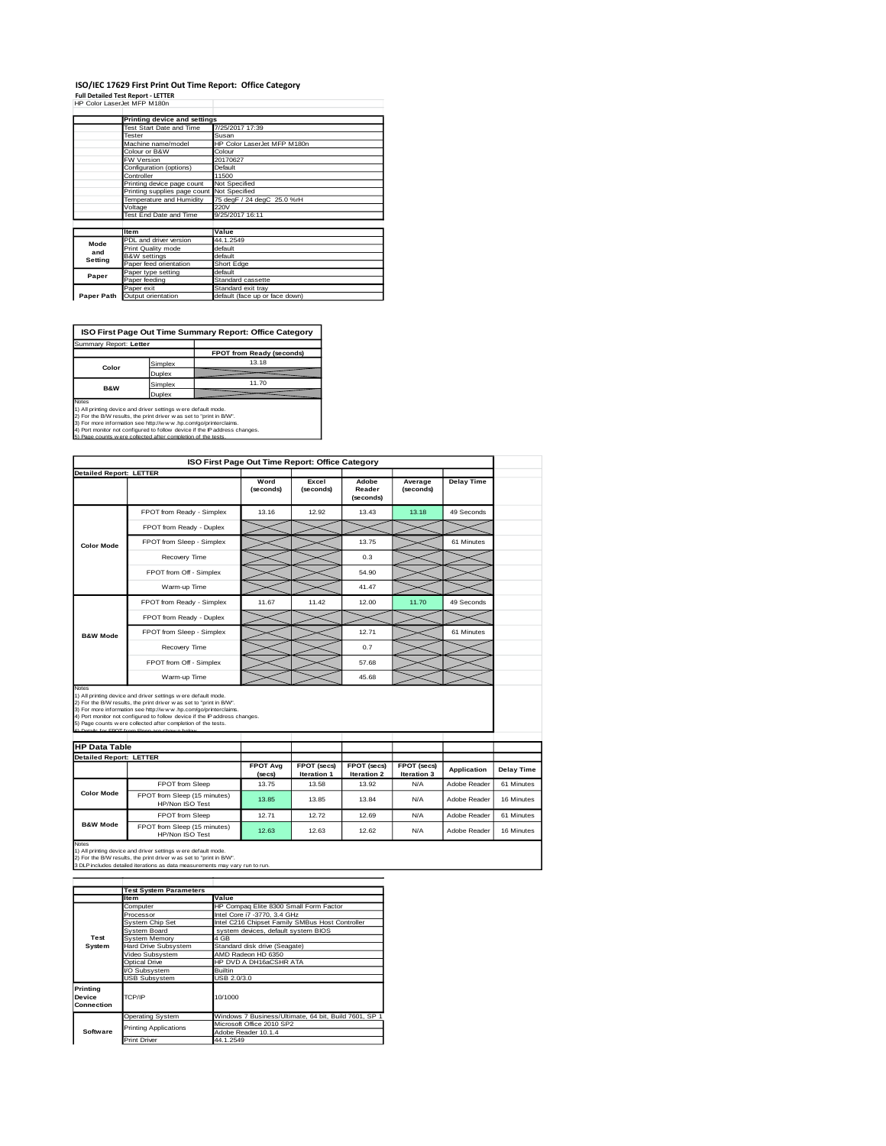## **ISO/IEC 17629 First Print Out Time Report: Office Category<br>Full Detailed Test Report - LETTER<br>HP Color LaserJet MFP M180n**

|            | Printing device and settings               |                                |
|------------|--------------------------------------------|--------------------------------|
|            | Test Start Date and Time                   | 7/25/2017 17:39                |
|            | Tester                                     | Susan                          |
|            | Machine name/model                         | HP Color LaserJet MFP M180n    |
|            | Colour or B&W                              | Colour                         |
|            | FW Version                                 | 20170627                       |
|            | Configuration (options)                    | Default                        |
|            | Controller                                 | 11500                          |
|            | Printing device page count                 | Not Specified                  |
|            | Printing supplies page count Not Specified |                                |
|            | Temperature and Humidity                   | 75 degF / 24 degC 25.0 %rH     |
|            | Voltage                                    | 220V                           |
|            | Test End Date and Time                     | 9/25/2017 16:11                |
|            |                                            |                                |
|            | <b>Item</b>                                | Value                          |
| Mode       | PDL and driver version                     | 44.1.2549                      |
| and        | Print Quality mode                         | default                        |
| Setting    | <b>B&amp;W</b> settings                    | default                        |
|            | Paper feed orientation                     | Short Edge                     |
| Paper      | Paper type setting                         | default                        |
|            | Paper feeding                              | Standard cassette              |
|            | Paper exit                                 | Standard exit tray             |
| Paper Path | Output orientation                         | default (face up or face down) |

**ISO First Page Out Time Summary Report: Office Category**

| Summary Report: Letter                                                        |         |                           |  |  |
|-------------------------------------------------------------------------------|---------|---------------------------|--|--|
|                                                                               |         | FPOT from Ready (seconds) |  |  |
| Color                                                                         | Simplex | 13.18                     |  |  |
|                                                                               | Duplex  |                           |  |  |
|                                                                               | Simplex | 11.70                     |  |  |
| <b>B&amp;W</b><br>Duplex                                                      |         |                           |  |  |
| <b>Notes</b><br>1) All printing device and driver settings were default mode. |         |                           |  |  |

1) All printing device and driver settings were default mode.<br>2) For the BAW results, the print driver was set to "print in BAW".<br>3) For more information see http://www.hp.com/go/printerclaims.<br>4) Port monitor not configur

| 5) Page counts wiere collected after completion of the tests. |  |
|---------------------------------------------------------------|--|
|                                                               |  |
|                                                               |  |
|                                                               |  |

|                                                       |                                                                                                                                                                                                                                                                                                                                                                                                          |                           | ISO First Page Out Time Report: Office Category |                              |                            |              |
|-------------------------------------------------------|----------------------------------------------------------------------------------------------------------------------------------------------------------------------------------------------------------------------------------------------------------------------------------------------------------------------------------------------------------------------------------------------------------|---------------------------|-------------------------------------------------|------------------------------|----------------------------|--------------|
| <b>Detailed Report: LETTER</b>                        |                                                                                                                                                                                                                                                                                                                                                                                                          |                           |                                                 |                              |                            |              |
|                                                       |                                                                                                                                                                                                                                                                                                                                                                                                          | Word<br>(seconds)         | Excel<br>(seconds)                              | Adobe<br>Reader<br>(seconds) | Average<br>(seconds)       | Delay Time   |
|                                                       | FPOT from Ready - Simplex                                                                                                                                                                                                                                                                                                                                                                                | 13.16                     | 12.92                                           | 13.43                        | 13.18                      | 49 Seconds   |
|                                                       | FPOT from Ready - Duplex                                                                                                                                                                                                                                                                                                                                                                                 |                           |                                                 |                              |                            |              |
| <b>Color Mode</b>                                     | FPOT from Sleep - Simplex                                                                                                                                                                                                                                                                                                                                                                                |                           |                                                 | 13.75                        |                            | 61 Minutes   |
|                                                       | Recovery Time                                                                                                                                                                                                                                                                                                                                                                                            |                           |                                                 | 0.3                          |                            |              |
|                                                       | FPOT from Off - Simplex                                                                                                                                                                                                                                                                                                                                                                                  |                           |                                                 | 54.90                        |                            |              |
|                                                       | Warm-up Time                                                                                                                                                                                                                                                                                                                                                                                             |                           |                                                 | 41.47                        |                            |              |
|                                                       | FPOT from Ready - Simplex                                                                                                                                                                                                                                                                                                                                                                                | 11.67                     | 11.42                                           | 12.00                        | 11.70                      | 49 Seconds   |
|                                                       | FPOT from Ready - Duplex                                                                                                                                                                                                                                                                                                                                                                                 |                           |                                                 |                              |                            |              |
| <b>B&amp;W Mode</b>                                   | FPOT from Sleep - Simplex                                                                                                                                                                                                                                                                                                                                                                                |                           |                                                 | 12.71                        |                            | 61 Minutes   |
|                                                       |                                                                                                                                                                                                                                                                                                                                                                                                          |                           |                                                 |                              |                            |              |
|                                                       | Recovery Time                                                                                                                                                                                                                                                                                                                                                                                            |                           |                                                 | 0.7                          |                            |              |
|                                                       | FPOT from Off - Simplex                                                                                                                                                                                                                                                                                                                                                                                  |                           |                                                 | 57.68                        |                            |              |
| Notes                                                 | Warm-up Time                                                                                                                                                                                                                                                                                                                                                                                             |                           |                                                 | 45.68                        |                            |              |
| <b>HP Data Table</b>                                  | 1) All printing device and driver settings were default mode.<br>2) For the B/W results, the print driver was set to "print in B/W".<br>3) For more information see http://www.hp.com/go/printerclaims.<br>4) Port monitor not configured to follow device if the IP address changes.<br>5) Page counts w ere collected after completion of the tests.<br>6) Details for FROT from Sleep are shown below |                           |                                                 |                              |                            |              |
|                                                       |                                                                                                                                                                                                                                                                                                                                                                                                          |                           |                                                 |                              |                            |              |
|                                                       |                                                                                                                                                                                                                                                                                                                                                                                                          | <b>FPOT Avg</b><br>(secs) | FPOT (secs)<br>Iteration 1                      | FPOT (secs)<br>Iteration 2   | FPOT (secs)<br>Iteration 3 | Application  |
|                                                       | FPOT from Sleep                                                                                                                                                                                                                                                                                                                                                                                          | 13.75                     | 13.58                                           | 13.92                        | N/A                        | Adobe Reader |
| <b>Color Mode</b>                                     | FPOT from Sleep (15 minutes)<br>HP/Non ISO Test                                                                                                                                                                                                                                                                                                                                                          | 13.85                     | 13.85                                           | 13.84                        | N/A                        | Adobe Reader |
| <b>Detailed Report: LETTER</b><br><b>B&amp;W Mode</b> | FPOT from Sleep                                                                                                                                                                                                                                                                                                                                                                                          | 12.71                     | 12.72                                           | 12.69                        | N/A                        | Adobe Reader |

1) All printing device and driver settings w ere default mode.<br>2) For the B/W results, the print driver w as set to "print in B/W".<br>3 DLP includes detailed iterations as data measurements may vary run to run.

|                                  | <b>Test System Parameters</b> |                                                       |  |  |
|----------------------------------|-------------------------------|-------------------------------------------------------|--|--|
|                                  | <b>Item</b>                   | Value                                                 |  |  |
|                                  | Computer                      | HP Compaq Elite 8300 Small Form Factor                |  |  |
|                                  | Processor                     | Intel Core i7 -3770, 3.4 GHz                          |  |  |
|                                  | System Chip Set               | Intel C216 Chipset Family SMBus Host Controller       |  |  |
|                                  | System Board                  | system devices, default system BIOS                   |  |  |
| Test                             | System Memory                 | 4 GB                                                  |  |  |
| System                           | <b>Hard Drive Subsystem</b>   | Standard disk drive (Seagate)                         |  |  |
|                                  | Video Subsystem               | AMD Radeon HD 6350                                    |  |  |
|                                  | Optical Drive                 | HP DVD A DH16aCSHR ATA                                |  |  |
|                                  | VO Subsystem                  | <b>Builtin</b>                                        |  |  |
|                                  | <b>USB Subsystem</b>          | USB 2.0/3.0                                           |  |  |
| Printing<br>Device<br>Connection | TCP/IP                        | 10/1000                                               |  |  |
|                                  | <b>Operating System</b>       | Windows 7 Business/Ultimate, 64 bit, Build 7601, SP 1 |  |  |
|                                  | <b>Printing Applications</b>  | Microsoft Office 2010 SP2                             |  |  |
| Software                         |                               | Adobe Reader 10.1.4                                   |  |  |
|                                  | <b>Print Driver</b>           | 44.1.2549                                             |  |  |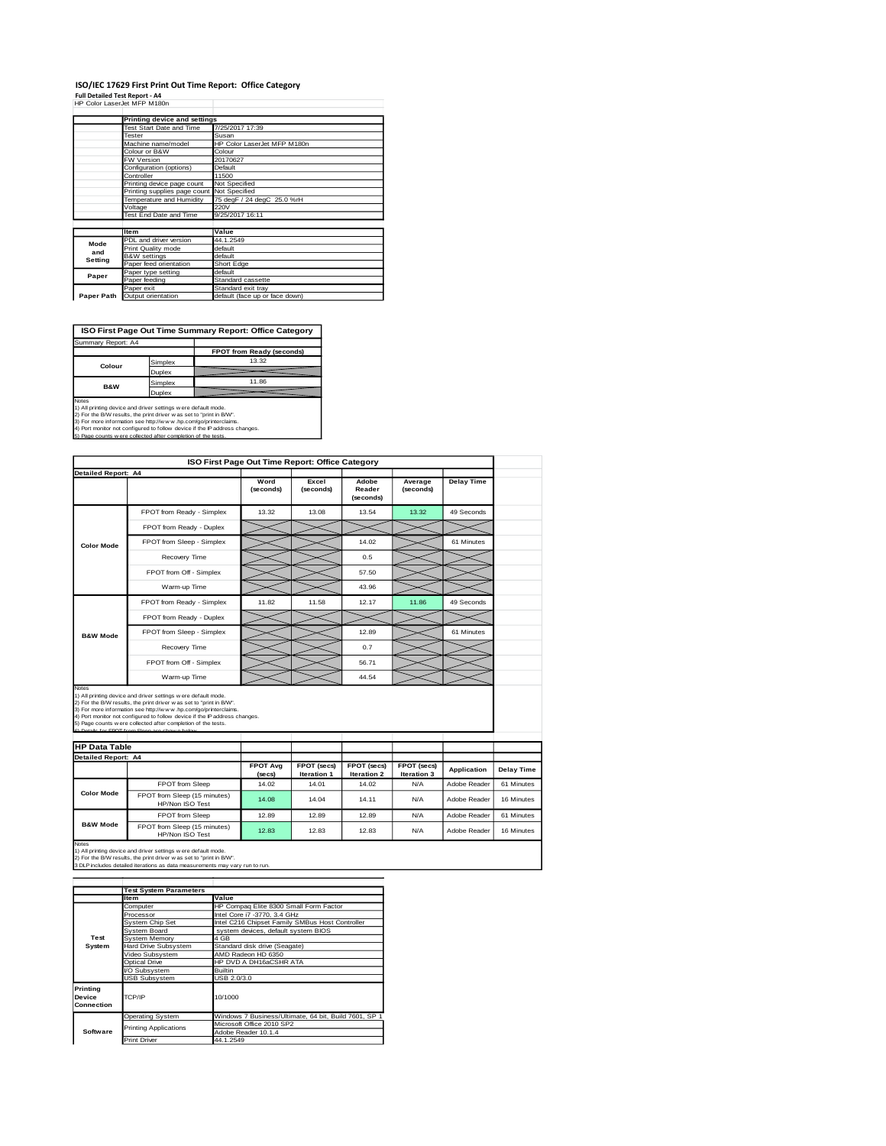### **ISO/IEC 17629 First Print Out Time Report: Office Category<br>Full Detailed Test Report - A4<br>HP Color LaserJet MFP M180n**

|  |  |  | HP Color LaserJet MFP M180r |
|--|--|--|-----------------------------|

|            | Printing device and settings               |                                |
|------------|--------------------------------------------|--------------------------------|
|            | Test Start Date and Time                   | 7/25/2017 17:39                |
|            | Tester                                     | Susan                          |
|            | Machine name/model                         | HP Color LaserJet MFP M180n    |
|            | Colour or B&W                              | Colour                         |
|            | FW Version                                 | 20170627                       |
|            | Configuration (options)                    | Default                        |
|            | Controller                                 | 11500                          |
|            | Printing device page count                 | Not Specified                  |
|            | Printing supplies page count Not Specified |                                |
|            | Temperature and Humidity                   | 75 degF / 24 degC 25.0 %rH     |
|            | Voltage                                    | 220V                           |
|            | Test End Date and Time                     | 9/25/2017 16:11                |
|            |                                            |                                |
|            | <b>Item</b>                                | Value                          |
| Mode       | PDL and driver version                     | 44.1.2549                      |
| and        | Print Quality mode                         | default                        |
| Setting    | <b>B&amp;W</b> settings                    | default                        |
|            | Paper feed orientation                     | Short Edge                     |
| Paper      | Paper type setting                         | default                        |
|            | Paper feeding                              | Standard cassette              |
|            | Paper exit                                 | Standard exit tray             |
| Paper Path | Output orientation                         | default (face up or face down) |

**ISO First Page Out Time Summary Report: Office Category**

| Summary Report: A4       |         |                           |
|--------------------------|---------|---------------------------|
|                          |         | FPOT from Ready (seconds) |
| Colour                   | Simplex | 13.32                     |
|                          | Duplex  |                           |
|                          | Simplex | 11.86                     |
| <b>B&amp;W</b><br>Duplex |         |                           |
| history.                 |         |                           |

Notes<br>1) All printing device and driver settings were default mode.<br>2) For the B/W results, the print driver was set to "print in B/W".<br>3) For more information see http://www.hp.com/go/printerclaims.<br>4) Fort monitor not co

|                                                    |                                                                                                                                                                                                                                                                                                                                                                                                           | ISO First Page Out Time Report: Office Category |                      |                              |                      |                    |
|----------------------------------------------------|-----------------------------------------------------------------------------------------------------------------------------------------------------------------------------------------------------------------------------------------------------------------------------------------------------------------------------------------------------------------------------------------------------------|-------------------------------------------------|----------------------|------------------------------|----------------------|--------------------|
| <b>Detailed Report: A4</b>                         |                                                                                                                                                                                                                                                                                                                                                                                                           | Word<br>(seconds)                               | Excel<br>(seconds)   | Adobe<br>Reader<br>(seconds) | Average<br>(seconds) | <b>Delay Time</b>  |
|                                                    | FPOT from Ready - Simplex                                                                                                                                                                                                                                                                                                                                                                                 | 13.32                                           | 13.08                | 13.54                        | 13.32                | 49 Seconds         |
|                                                    | FPOT from Ready - Duplex                                                                                                                                                                                                                                                                                                                                                                                  |                                                 |                      |                              |                      |                    |
| <b>Color Mode</b>                                  | FPOT from Sleep - Simplex                                                                                                                                                                                                                                                                                                                                                                                 |                                                 |                      | 14.02                        |                      | 61 Minutes         |
|                                                    | Recovery Time                                                                                                                                                                                                                                                                                                                                                                                             |                                                 |                      | 0.5                          |                      |                    |
|                                                    | FPOT from Off - Simplex                                                                                                                                                                                                                                                                                                                                                                                   |                                                 |                      | 57.50                        |                      |                    |
|                                                    | Warm-up Time                                                                                                                                                                                                                                                                                                                                                                                              |                                                 |                      | 43.96                        |                      |                    |
|                                                    | FPOT from Ready - Simplex                                                                                                                                                                                                                                                                                                                                                                                 | 11.82                                           | 11.58                | 12.17                        | 11.86                | 49 Seconds         |
|                                                    | FPOT from Ready - Duplex                                                                                                                                                                                                                                                                                                                                                                                  |                                                 |                      |                              |                      |                    |
| <b>B&amp;W Mode</b>                                | FPOT from Sleep - Simplex                                                                                                                                                                                                                                                                                                                                                                                 |                                                 |                      | 12.89                        |                      | 61 Minutes         |
|                                                    | Recovery Time                                                                                                                                                                                                                                                                                                                                                                                             |                                                 |                      | 0.7                          |                      |                    |
|                                                    | FPOT from Off - Simplex                                                                                                                                                                                                                                                                                                                                                                                   |                                                 |                      | 56.71                        |                      |                    |
|                                                    |                                                                                                                                                                                                                                                                                                                                                                                                           |                                                 |                      |                              |                      |                    |
| Notes                                              | Warm-up Time                                                                                                                                                                                                                                                                                                                                                                                              |                                                 |                      | 44.54                        |                      |                    |
| <b>HP Data Table</b><br><b>Detailed Report: A4</b> | 1) All printing device and driver settings w ere default mode.<br>2) For the B/W results, the print driver was set to "print in B/W".<br>3) For more information see http://www.hp.com/go/printerclaims.<br>4) Port monitor not configured to follow device if the IP address changes.<br>5) Page counts w ere collected after completion of the tests.<br>6) Details for FROT from Sleep are shown below | <b>FPOT Avg</b>                                 | FPOT (secs)          | FPOT (secs)                  | FPOT (secs)          | <b>Application</b> |
|                                                    | FPOT from Sleep                                                                                                                                                                                                                                                                                                                                                                                           | (secs)<br>14.02                                 | Iteration 1<br>14.01 | <b>Iteration 2</b><br>14.02  | Iteration 3<br>N/A   | Adobe Reader       |
| <b>Color Mode</b>                                  | FPOT from Sleep (15 minutes)<br>HP/Non ISO Test                                                                                                                                                                                                                                                                                                                                                           | 14.08                                           | 14.04                | 14.11                        | N/A                  | Adobe Reader       |
|                                                    | FPOT from Sleep                                                                                                                                                                                                                                                                                                                                                                                           | 12.89                                           | 12.89                | 12.89                        | N/A                  | Adobe Reader       |

|                                  | <b>Test System Parameters</b> |                                                       |
|----------------------------------|-------------------------------|-------------------------------------------------------|
|                                  | <b>Item</b>                   | Value                                                 |
|                                  | Computer                      | HP Compaq Elite 8300 Small Form Factor                |
|                                  | Processor                     | Intel Core i7 -3770, 3.4 GHz                          |
|                                  | System Chip Set               | Intel C216 Chipset Family SMBus Host Controller       |
|                                  | System Board                  | system devices, default system BIOS                   |
| Test                             | System Memory                 | 4 GB                                                  |
| System                           | <b>Hard Drive Subsystem</b>   | Standard disk drive (Seagate)                         |
|                                  | Video Subsystem               | AMD Radeon HD 6350                                    |
|                                  | Optical Drive                 | HP DVD A DH16aCSHR ATA                                |
|                                  | VO Subsystem                  | <b>Builtin</b>                                        |
|                                  | <b>USB Subsystem</b>          | USB 2.0/3.0                                           |
| Printing<br>Device<br>Connection | TCP/IP                        | 10/1000                                               |
|                                  | <b>Operating System</b>       | Windows 7 Business/Ultimate, 64 bit, Build 7601, SP 1 |
|                                  | <b>Printing Applications</b>  | Microsoft Office 2010 SP2                             |
| Software                         |                               | Adobe Reader 10.1.4                                   |
|                                  | <b>Print Driver</b>           | 44.1.2549                                             |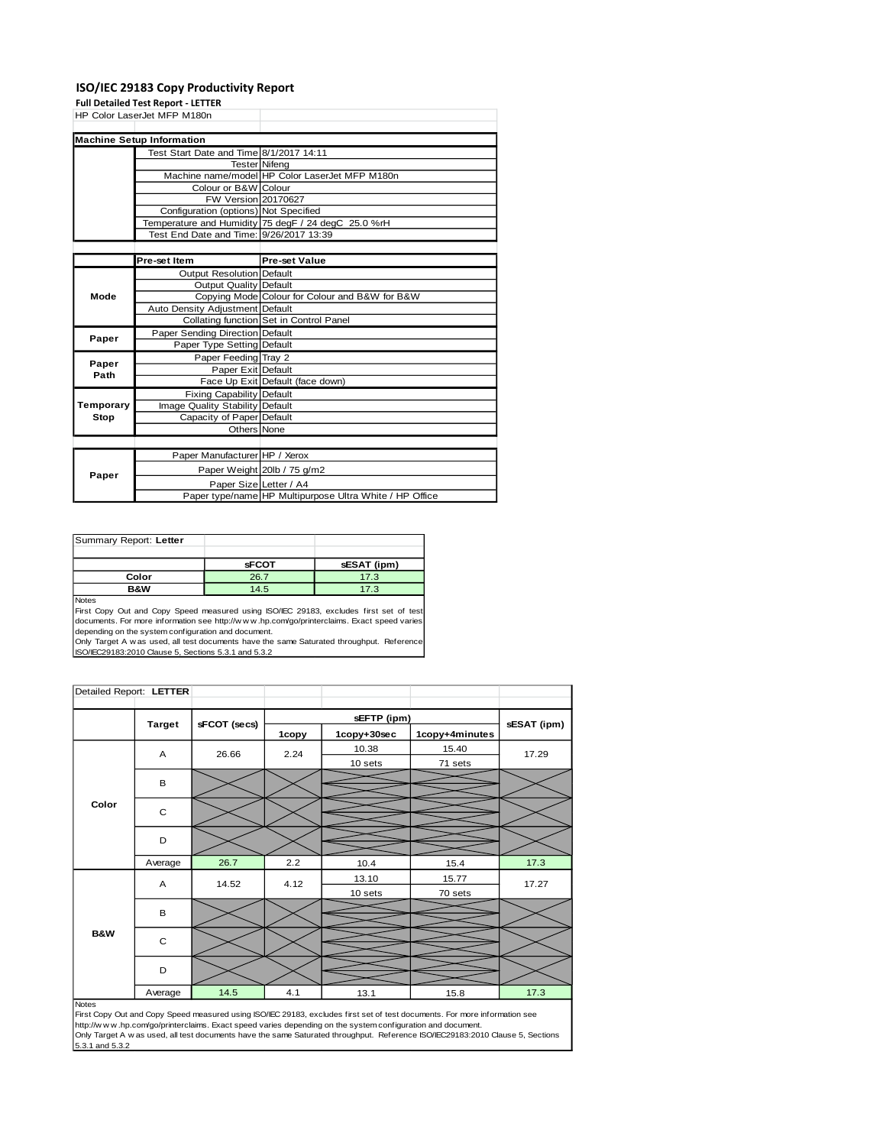#### **ISO/IEC 29183 Copy Productivity Report**

**Full Detailed Test Report - LETTER**

|           | HP Color LaserJet MFP M180n             |                                                         |
|-----------|-----------------------------------------|---------------------------------------------------------|
|           |                                         |                                                         |
|           | <b>Machine Setup Information</b>        |                                                         |
|           | Test Start Date and Time 8/1/2017 14:11 |                                                         |
|           |                                         | <b>Tester Nifeng</b>                                    |
|           |                                         | Machine name/model HP Color LaserJet MFP M180n          |
|           | Colour or B&W Colour                    |                                                         |
|           | FW Version 20170627                     |                                                         |
|           | Configuration (options) Not Specified   |                                                         |
|           |                                         | Temperature and Humidity 75 degF / 24 degC 25.0 %rH     |
|           | Test End Date and Time: 9/26/2017 13:39 |                                                         |
|           |                                         |                                                         |
|           | Pre-set Item                            | <b>Pre-set Value</b>                                    |
|           | Output Resolution Default               |                                                         |
|           | <b>Output Quality Default</b>           |                                                         |
| Mode      |                                         | Copying Mode Colour for Colour and B&W for B&W          |
|           | Auto Density Adjustment Default         |                                                         |
|           |                                         | Collating function Set in Control Panel                 |
| Paper     | Paper Sending Direction Default         |                                                         |
|           | Paper Type Setting Default              |                                                         |
| Paper     | Paper Feeding Tray 2                    |                                                         |
| Path      | Paper Exit Default                      |                                                         |
|           |                                         | Face Up Exit Default (face down)                        |
|           | Fixing Capability Default               |                                                         |
| Temporary | Image Quality Stability Default         |                                                         |
| Stop      | Capacity of Paper Default               |                                                         |
|           | Others None                             |                                                         |
|           |                                         |                                                         |
|           | Paper Manufacturer HP / Xerox           |                                                         |
| Paper     |                                         | Paper Weight 20lb / 75 g/m2                             |
|           |                                         | Paper Size Letter / A4                                  |
|           |                                         | Paper type/name HP Multipurpose Ultra White / HP Office |

| Summary Report: Letter |              |             |
|------------------------|--------------|-------------|
|                        |              |             |
|                        | <b>SFCOT</b> | sESAT (ipm) |
| Color                  | 26.7         | 17.3        |
| <b>B&amp;W</b>         | 14.5         | 17.3        |
| <b>ALL</b>             |              |             |

Notes First Copy Out and Copy Speed measured using ISO/IEC 29183, excludes first set of test documents. For more information see http://w w w .hp.com/go/printerclaims. Exact speed varies depending on the system configuration and document.

Only Target A w as used, all test documents have the same Saturated throughput. Reference ISO/IEC29183:2010 Clause 5, Sections 5.3.1 and 5.3.2

| Detailed Report: LETTER |                |              |             |             |                |             |
|-------------------------|----------------|--------------|-------------|-------------|----------------|-------------|
|                         |                |              | sEFTP (ipm) |             |                |             |
|                         | <b>Target</b>  | sFCOT (secs) | 1copy       | 1copy+30sec | 1copy+4minutes | sESAT (ipm) |
| Color                   | $\overline{A}$ | 26.66        | 2.24        | 10.38       | 15.40          | 17.29       |
|                         |                |              |             | 10 sets     | 71 sets        |             |
|                         | B              |              |             |             |                |             |
|                         | $\mathbf C$    |              |             |             |                |             |
|                         | D              |              |             |             |                |             |
|                         | Average        | 26.7         | 2.2         | 10.4        | 15.4           | 17.3        |
| <b>B&amp;W</b>          | Α              | 14.52        | 4.12        | 13.10       | 15.77          | 17.27       |
|                         |                |              |             | 10 sets     | 70 sets        |             |
|                         | B              |              |             |             |                |             |
|                         | $\mathbf C$    |              |             |             |                |             |
|                         | D              |              |             |             |                |             |
|                         | Average        | 14.5         | 4.1         | 13.1        | 15.8           | 17.3        |

Notes<br>First Copy Out and Copy Speed measured using ISO/IEC 29183, excludes first set of test documents. For more information see<br>http://www.hp.com/go/printerclaims. Exact speed varies depending on the system configuration